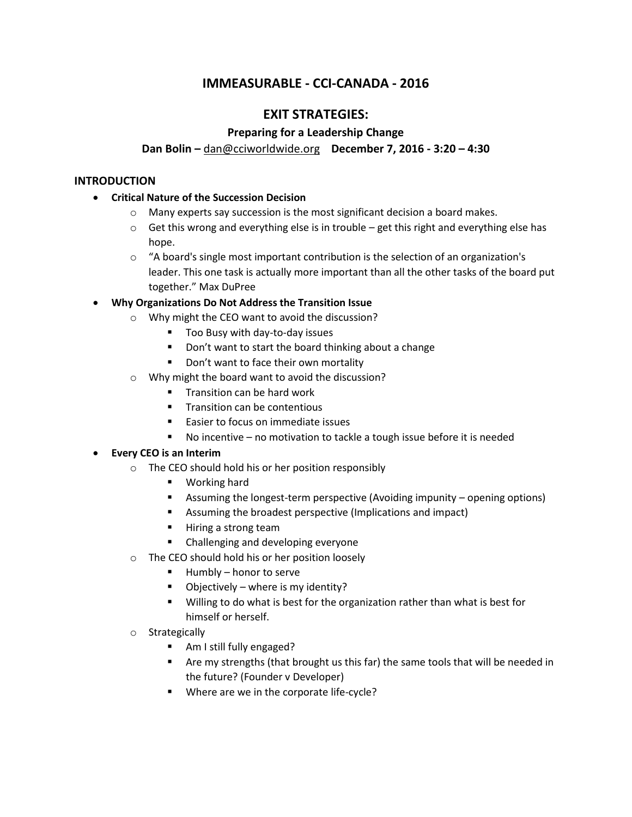# **IMMEASURABLE - CCI-CANADA - 2016**

# **EXIT STRATEGIES:**

# **Preparing for a Leadership Change**

### **Dan Bolin –** [dan@cciworldwide.org](mailto:dan@cciworldwide.org) **December 7, 2016 - 3:20 – 4:30**

#### **INTRODUCTION**

- **Critical Nature of the Succession Decision**
	- $\circ$  Many experts say succession is the most significant decision a board makes.
	- $\circ$  Get this wrong and everything else is in trouble get this right and everything else has hope.
	- $\circ$  "A board's single most important contribution is the selection of an organization's leader. This one task is actually more important than all the other tasks of the board put together." Max DuPree

### **Why Organizations Do Not Address the Transition Issue**

- o Why might the CEO want to avoid the discussion?
	- Too Busy with day-to-day issues
	- Don't want to start the board thinking about a change
	- Don't want to face their own mortality
- o Why might the board want to avoid the discussion?
	- **Transition can be hard work**
	- **Transition can be contentious**
	- Easier to focus on immediate issues
	- No incentive no motivation to tackle a tough issue before it is needed

#### **Every CEO is an Interim**

- o The CEO should hold his or her position responsibly
	- **•** Working hard
	- Assuming the longest-term perspective (Avoiding impunity opening options)
	- Assuming the broadest perspective (Implications and impact)
	- Hiring a strong team
	- **EXEC** Challenging and developing everyone
- o The CEO should hold his or her position loosely
	- $Humbly honor to serve$
	- $\blacksquare$  Objectively where is my identity?
	- Willing to do what is best for the organization rather than what is best for himself or herself.
- o Strategically
	- Am I still fully engaged?
	- Are my strengths (that brought us this far) the same tools that will be needed in the future? (Founder v Developer)
	- **Where are we in the corporate life-cycle?**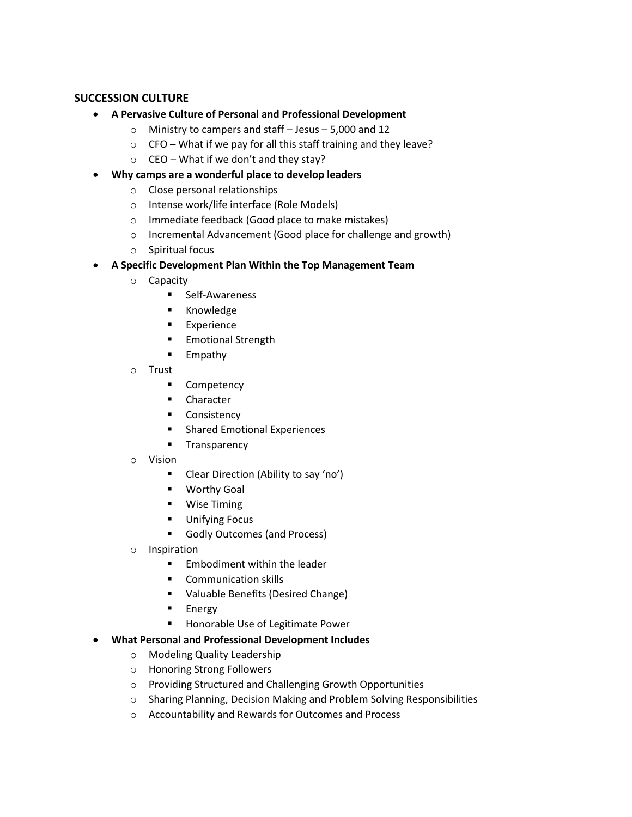### **SUCCESSION CULTURE**

- **A Pervasive Culture of Personal and Professional Development**
	- o Ministry to campers and staff Jesus 5,000 and 12
	- $\circ$  CFO What if we pay for all this staff training and they leave?
	- $\circ$  CEO What if we don't and they stay?
- **Why camps are a wonderful place to develop leaders**
	- o Close personal relationships
	- o Intense work/life interface (Role Models)
	- o Immediate feedback (Good place to make mistakes)
	- o Incremental Advancement (Good place for challenge and growth)
	- o Spiritual focus
- **A Specific Development Plan Within the Top Management Team**
	- o Capacity
		- **Self-Awareness**
		- **E** Knowledge
		- **Experience**
		- **Emotional Strength**
		- **Empathy**
	- o Trust
		- **•** Competency
		- **E** Character
		- **Consistency**
		- **EXECUTE:** Shared Emotional Experiences
		- **Transparency**
	- o Vision
		- **Clear Direction (Ability to say 'no')**
		- **Worthy Goal**
		- **Wise Timing**
		- **Unifying Focus**
		- Godly Outcomes (and Process)
	- o Inspiration
		- $\blacksquare$  Embodiment within the leader
		- **Communication skills**
		- Valuable Benefits (Desired Change)
		- **Energy**
		- **Honorable Use of Legitimate Power**
- **What Personal and Professional Development Includes**
	- o Modeling Quality Leadership
	- o Honoring Strong Followers
	- o Providing Structured and Challenging Growth Opportunities
	- o Sharing Planning, Decision Making and Problem Solving Responsibilities
	- o Accountability and Rewards for Outcomes and Process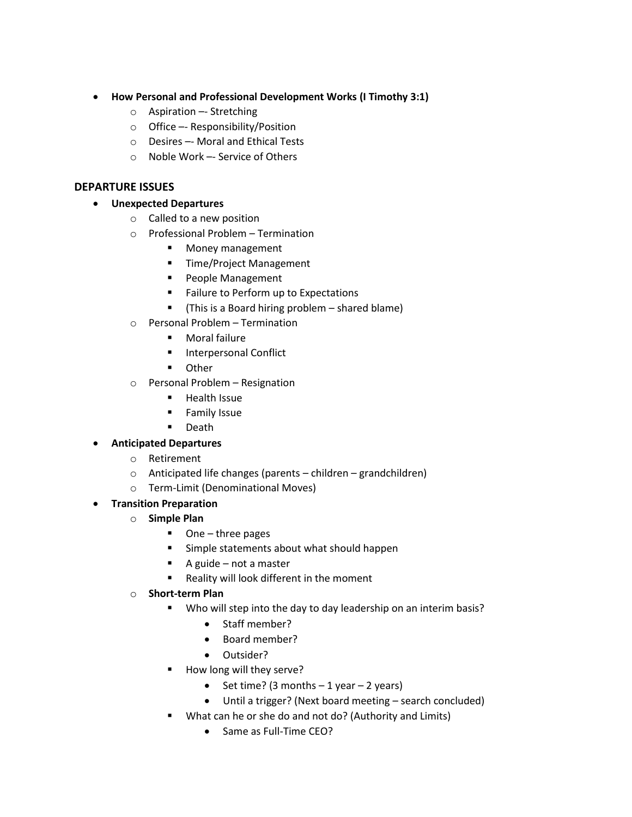- **How Personal and Professional Development Works (I Timothy 3:1)**
	- o Aspiration –- Stretching
	- o Office –- Responsibility/Position
	- o Desires –- Moral and Ethical Tests
	- o Noble Work –- Service of Others

### **DEPARTURE ISSUES**

- **Unexpected Departures**
	- o Called to a new position
	- o Professional Problem Termination
		- **Money management**
		- **Time/Project Management**
		- **People Management**
		- **Failure to Perform up to Expectations**
		- (This is a Board hiring problem shared blame)
	- o Personal Problem Termination
		- Moral failure
		- **Interpersonal Conflict**
		- **•** Other
	- o Personal Problem Resignation
		- **Health Issue**
		- **Family Issue**
		- **Death**
- **Anticipated Departures**
	- o Retirement
	- o Anticipated life changes (parents children grandchildren)
	- o Term-Limit (Denominational Moves)
- **Transition Preparation**
	- o **Simple Plan**
		- One three pages
		- Simple statements about what should happen
		- $\blacksquare$  A guide not a master
		- Reality will look different in the moment
	- o **Short-term Plan**
		- Who will step into the day to day leadership on an interim basis?
			- Staff member?
			- Board member?
			- Outsider?
		- How long will they serve?
			- Set time? (3 months  $-1$  year  $-2$  years)
			- Until a trigger? (Next board meeting search concluded)
		- What can he or she do and not do? (Authority and Limits)
			- Same as Full-Time CEO?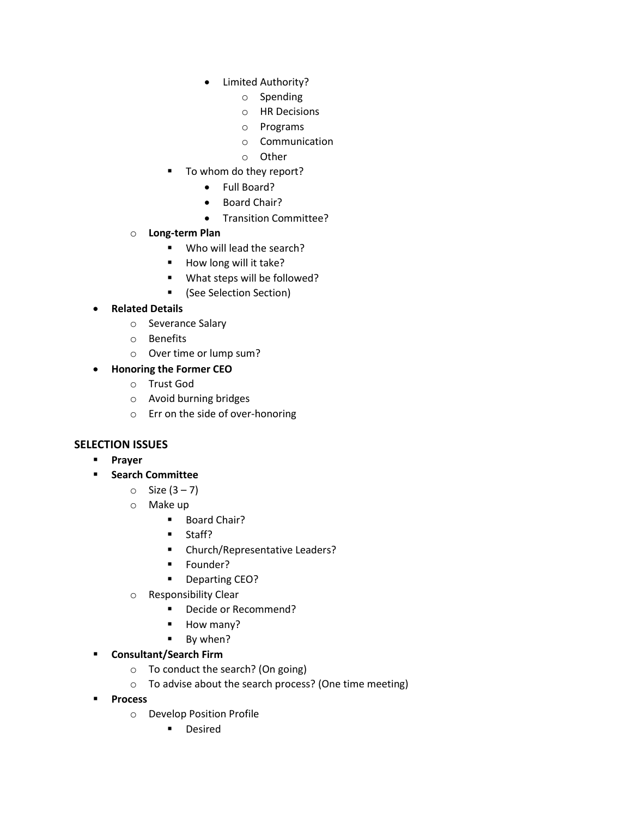- Limited Authority?
	- o Spending
	- o HR Decisions
	- o Programs
	- o Communication
	- o Other
- To whom do they report?
	- Full Board?
	- Board Chair?
	- Transition Committee?
- o **Long-term Plan**
	- Who will lead the search?
	- $\blacksquare$  How long will it take?
	- What steps will be followed?
	- (See Selection Section)

# **Related Details**

- o Severance Salary
- o Benefits
- o Over time or lump sum?
- **Honoring the Former CEO**
	- o Trust God
	- o Avoid burning bridges
	- o Err on the side of over-honoring

### **SELECTION ISSUES**

- **Prayer**
- **Search Committee** 
	- $\circ$  Size (3 7)
	- o Make up
		- **Board Chair?**
		- **Staff?**
		- **EXEC** Church/Representative Leaders?
		- **Founder?**
		- **•** Departing CEO?
	- o Responsibility Clear
		- Decide or Recommend?
		- **How many?**
		- **By when?**
- **Consultant/Search Firm**
	- o To conduct the search? (On going)
	- o To advise about the search process? (One time meeting)
- **Process** 
	- o Develop Position Profile
		- **-** Desired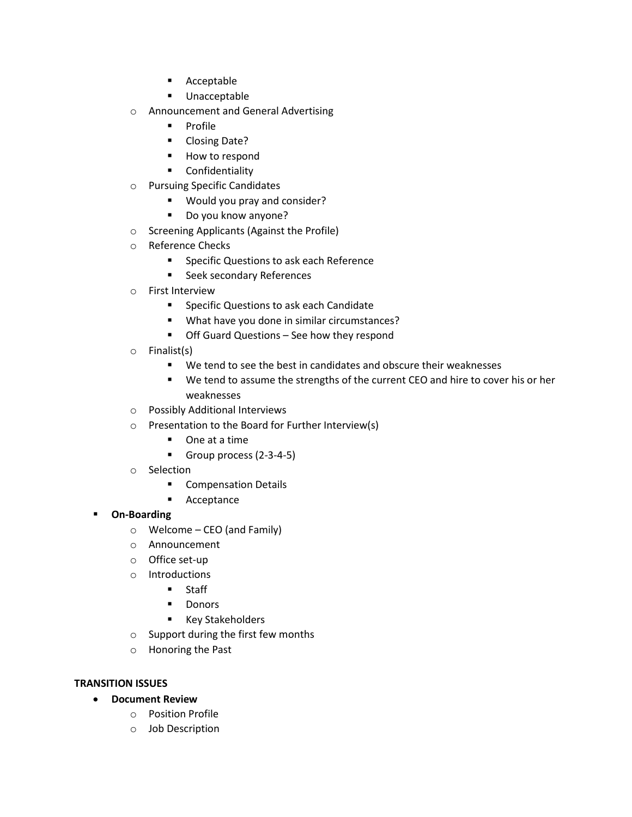- **Acceptable**
- **Unacceptable**
- o Announcement and General Advertising
	- **Profile**
	- **-** Closing Date?
	- **How to respond**
	- **•** Confidentiality
- o Pursuing Specific Candidates
	- Would you pray and consider?
	- Do you know anyone?
- o Screening Applicants (Against the Profile)
- o Reference Checks
	- **F** Specific Questions to ask each Reference
	- **Seek secondary References**
- o First Interview
	- **F** Specific Questions to ask each Candidate
	- What have you done in similar circumstances?
	- Off Guard Questions See how they respond
- o Finalist(s)
	- We tend to see the best in candidates and obscure their weaknesses
	- We tend to assume the strengths of the current CEO and hire to cover his or her weaknesses
- o Possibly Additional Interviews
- o Presentation to the Board for Further Interview(s)
	- One at a time
		- Group process (2-3-4-5)
- o Selection
	- **Compensation Details**
	- **Acceptance**

#### **On-Boarding**

- o Welcome CEO (and Family)
- o Announcement
- o Office set-up
- o Introductions
	- **Staff**
	- **•** Donors
	- **Key Stakeholders**
- o Support during the first few months
- o Honoring the Past

#### **TRANSITION ISSUES**

- **Document Review**
	- o Position Profile
	- o Job Description